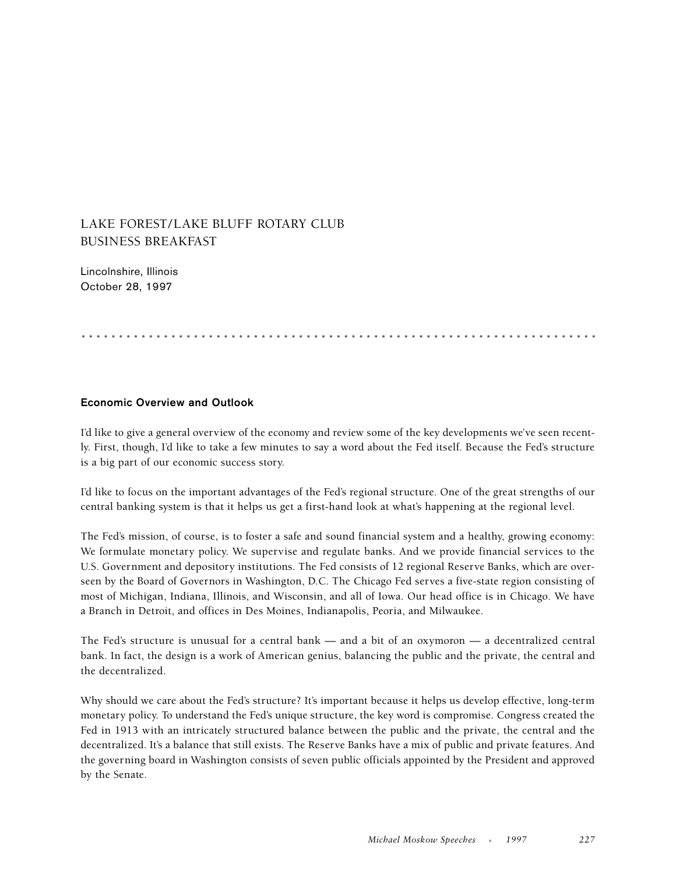## LAKE FOREST/LAKE BLUFF ROTARY CLUB BUSINESS BREAKFAST

Lincolnshire, Illinois October 28, 1997

.....................................................................

## **Economic Overview and Outlook**

I'd like to give a general overview of the economy and review some of the key developments we've seen recently. First, though, I'd like to take a few minutes to say a word about the Fed itself. Because the Fed's structure is a big part of our economic success story.

I'd like to focus on the important advantages of the Fed's regional structure. One of the great strengths of our central banking system is that it helps us get a first-hand look at what's happening at the regional level.

The Fed's mission, of course, is to foster a safe and sound financial system and a healthy, growing economy: We formulate monetary policy. We supervise and regulate banks. And we provide financial services to the U.S. Government and depository institutions. The Fed consists of 12 regional Reserve Banks, which are overseen by the Board of Governors in Washington, D.C. The Chicago Fed serves a five-state region consisting of most of Michigan, Indiana, Illinois, and Wisconsin, and all of Iowa. Our head office is in Chicago. We have a Branch in Detroit, and offices in Des Moines, Indianapolis, Peoria, and Milwaukee.

The Fed's structure is unusual for a central bank — and a bit of an oxymoron — a decentralized central bank. In fact, the design is a work of American genius, balancing the public and the private, the central and the decentralized.

Why should we care about the Fed's structure? It's important because it helps us develop effective, long-term monetary policy. To understand the Fed's unique structure, the key word is compromise. Congress created the Fed in 1913 with an intricately structured balance between the public and the private, the central and the decentralized. It's a balance that still exists. The Reserve Banks have a mix of public and private features. And the governing board in Washington consists of seven public officials appointed by the President and approved by the Senate.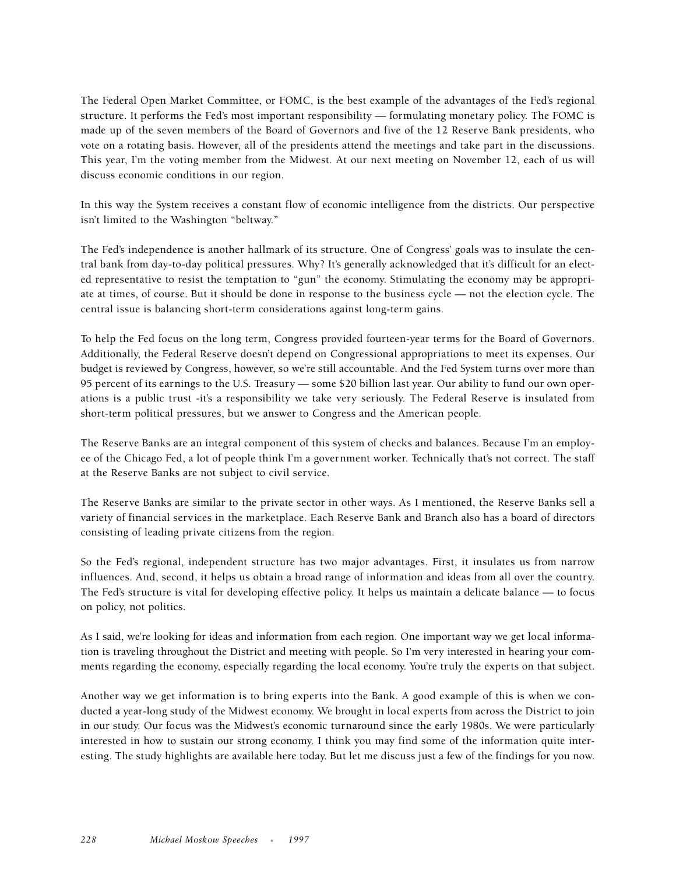The Federal Open Market Committee, or FOMC, is the best example of the advantages of the Fed's regional structure. It performs the Fed's most important responsibility — formulating monetary policy. The FOMC is made up of the seven members of the Board of Governors and five of the 12 Reserve Bank presidents, who vote on a rotating basis. However, all of the presidents attend the meetings and take part in the discussions. This year, I'm the voting member from the Midwest. At our next meeting on November 12, each of us will discuss economic conditions in our region.

In this way the System receives a constant flow of economic intelligence from the districts. Our perspective isn't limited to the Washington "beltway."

The Fed's independence is another hallmark of its structure. One of Congress' goals was to insulate the central bank from day-to-day political pressures. Why? It's generally acknowledged that it's difficult for an elected representative to resist the temptation to "gun" the economy. Stimulating the economy may be appropriate at times, of course. But it should be done in response to the business cycle — not the election cycle. The central issue is balancing short-term considerations against long-term gains.

To help the Fed focus on the long term, Congress provided fourteen-year terms for the Board of Governors. Additionally, the Federal Reserve doesn't depend on Congressional appropriations to meet its expenses. Our budget is reviewed by Congress, however, so we're still accountable. And the Fed System turns over more than 95 percent of its earnings to the U.S. Treasury — some \$20 billion last year. Our ability to fund our own operations is a public trust -it's a responsibility we take very seriously. The Federal Reserve is insulated from short-term political pressures, but we answer to Congress and the American people.

The Reserve Banks are an integral component of this system of checks and balances. Because I'm an employee of the Chicago Fed, a lot of people think I'm a government worker. Technically that's not correct. The staff at the Reserve Banks are not subject to civil service.

The Reserve Banks are similar to the private sector in other ways. As I mentioned, the Reserve Banks sell a variety of financial services in the marketplace. Each Reserve Bank and Branch also has a board of directors consisting of leading private citizens from the region.

So the Fed's regional, independent structure has two major advantages. First, it insulates us from narrow influences. And, second, it helps us obtain a broad range of information and ideas from all over the country. The Fed's structure is vital for developing effective policy. It helps us maintain a delicate balance — to focus on policy, not politics.

As I said, we're looking for ideas and information from each region. One important way we get local information is traveling throughout the District and meeting with people. So I'm very interested in hearing your comments regarding the economy, especially regarding the local economy. You're truly the experts on that subject.

Another way we get information is to bring experts into the Bank. A good example of this is when we conducted a year-long study of the Midwest economy. We brought in local experts from across the District to join in our study. Our focus was the Midwest's economic turnaround since the early 1980s. We were particularly interested in how to sustain our strong economy. I think you may find some of the information quite interesting. The study highlights are available here today. But let me discuss just a few of the findings for you now.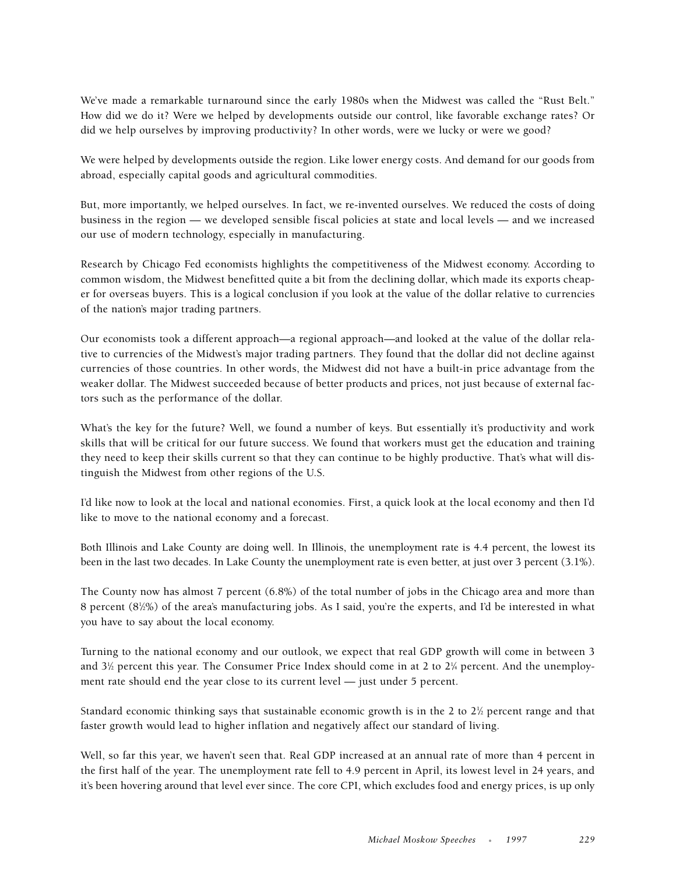We've made a remarkable turnaround since the early 1980s when the Midwest was called the "Rust Belt." How did we do it? Were we helped by developments outside our control, like favorable exchange rates? Or did we help ourselves by improving productivity? In other words, were we lucky or were we good?

We were helped by developments outside the region. Like lower energy costs. And demand for our goods from abroad, especially capital goods and agricultural commodities.

But, more importantly, we helped ourselves. In fact, we re-invented ourselves. We reduced the costs of doing business in the region — we developed sensible fiscal policies at state and local levels — and we increased our use of modern technology, especially in manufacturing.

Research by Chicago Fed economists highlights the competitiveness of the Midwest economy. According to common wisdom, the Midwest benefitted quite a bit from the declining dollar, which made its exports cheaper for overseas buyers. This is a logical conclusion if you look at the value of the dollar relative to currencies of the nation's major trading partners.

Our economists took a different approach—a regional approach—and looked at the value of the dollar relative to currencies of the Midwest's major trading partners. They found that the dollar did not decline against currencies of those countries. In other words, the Midwest did not have a built-in price advantage from the weaker dollar. The Midwest succeeded because of better products and prices, not just because of external factors such as the performance of the dollar.

What's the key for the future? Well, we found a number of keys. But essentially it's productivity and work skills that will be critical for our future success. We found that workers must get the education and training they need to keep their skills current so that they can continue to be highly productive. That's what will distinguish the Midwest from other regions of the U.S.

I'd like now to look at the local and national economies. First, a quick look at the local economy and then I'd like to move to the national economy and a forecast.

Both Illinois and Lake County are doing well. In Illinois, the unemployment rate is 4.4 percent, the lowest its been in the last two decades. In Lake County the unemployment rate is even better, at just over 3 percent (3.1%).

The County now has almost 7 percent (6.8%) of the total number of jobs in the Chicago area and more than 8 percent (81 ⁄2%) of the area's manufacturing jobs. As I said, you're the experts, and I'd be interested in what you have to say about the local economy.

Turning to the national economy and our outlook, we expect that real GDP growth will come in between 3 and 3<sup>1</sup>/<sub>2</sub> percent this year. The Consumer Price Index should come in at 2 to 2<sup>1</sup>/4 percent. And the unemployment rate should end the year close to its current level — just under 5 percent.

Standard economic thinking says that sustainable economic growth is in the 2 to  $2\frac{1}{2}$  percent range and that faster growth would lead to higher inflation and negatively affect our standard of living.

Well, so far this year, we haven't seen that. Real GDP increased at an annual rate of more than 4 percent in the first half of the year. The unemployment rate fell to 4.9 percent in April, its lowest level in 24 years, and it's been hovering around that level ever since. The core CPI, which excludes food and energy prices, is up only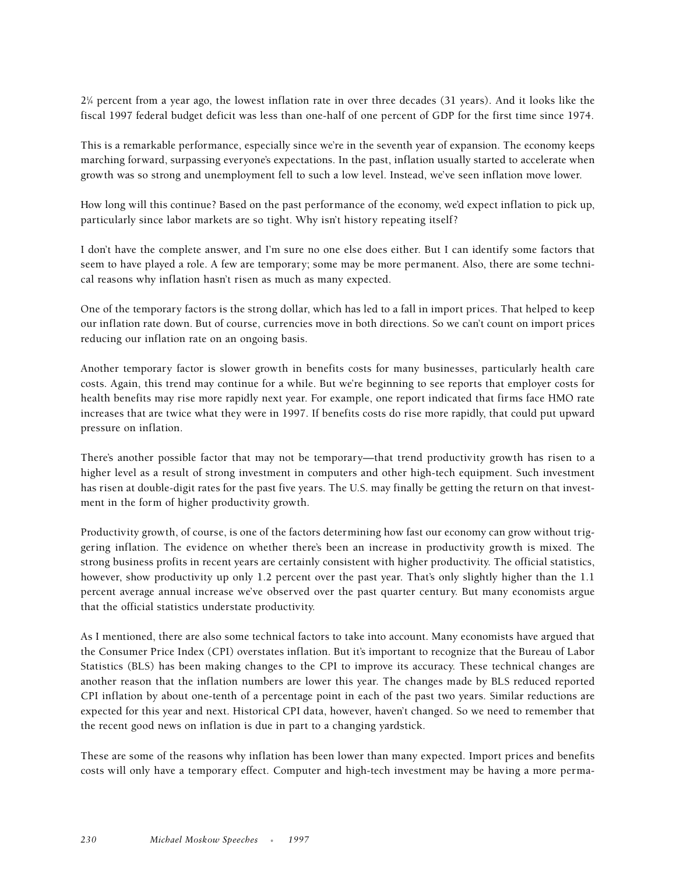21 ⁄4 percent from a year ago, the lowest inflation rate in over three decades (31 years). And it looks like the fiscal 1997 federal budget deficit was less than one-half of one percent of GDP for the first time since 1974.

This is a remarkable performance, especially since we're in the seventh year of expansion. The economy keeps marching forward, surpassing everyone's expectations. In the past, inflation usually started to accelerate when growth was so strong and unemployment fell to such a low level. Instead, we've seen inflation move lower.

How long will this continue? Based on the past performance of the economy, we'd expect inflation to pick up, particularly since labor markets are so tight. Why isn't history repeating itself?

I don't have the complete answer, and I'm sure no one else does either. But I can identify some factors that seem to have played a role. A few are temporary; some may be more permanent. Also, there are some technical reasons why inflation hasn't risen as much as many expected.

One of the temporary factors is the strong dollar, which has led to a fall in import prices. That helped to keep our inflation rate down. But of course, currencies move in both directions. So we can't count on import prices reducing our inflation rate on an ongoing basis.

Another temporary factor is slower growth in benefits costs for many businesses, particularly health care costs. Again, this trend may continue for a while. But we're beginning to see reports that employer costs for health benefits may rise more rapidly next year. For example, one report indicated that firms face HMO rate increases that are twice what they were in 1997. If benefits costs do rise more rapidly, that could put upward pressure on inflation.

There's another possible factor that may not be temporary—that trend productivity growth has risen to a higher level as a result of strong investment in computers and other high-tech equipment. Such investment has risen at double-digit rates for the past five years. The U.S. may finally be getting the return on that investment in the form of higher productivity growth.

Productivity growth, of course, is one of the factors determining how fast our economy can grow without triggering inflation. The evidence on whether there's been an increase in productivity growth is mixed. The strong business profits in recent years are certainly consistent with higher productivity. The official statistics, however, show productivity up only 1.2 percent over the past year. That's only slightly higher than the 1.1 percent average annual increase we've observed over the past quarter century. But many economists argue that the official statistics understate productivity.

As I mentioned, there are also some technical factors to take into account. Many economists have argued that the Consumer Price Index (CPI) overstates inflation. But it's important to recognize that the Bureau of Labor Statistics (BLS) has been making changes to the CPI to improve its accuracy. These technical changes are another reason that the inflation numbers are lower this year. The changes made by BLS reduced reported CPI inflation by about one-tenth of a percentage point in each of the past two years. Similar reductions are expected for this year and next. Historical CPI data, however, haven't changed. So we need to remember that the recent good news on inflation is due in part to a changing yardstick.

These are some of the reasons why inflation has been lower than many expected. Import prices and benefits costs will only have a temporary effect. Computer and high-tech investment may be having a more perma